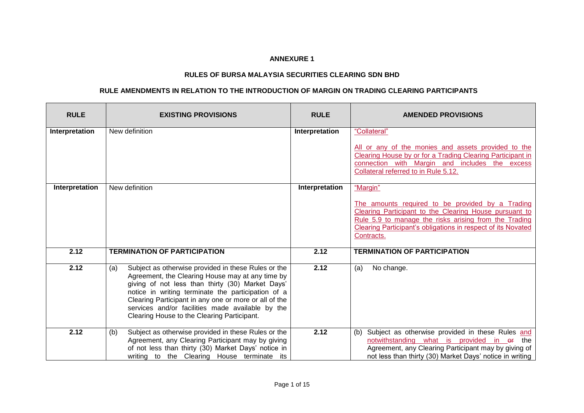## **ANNEXURE 1**

## **RULES OF BURSA MALAYSIA SECURITIES CLEARING SDN BHD**

## **RULE AMENDMENTS IN RELATION TO THE INTRODUCTION OF MARGIN ON TRADING CLEARING PARTICIPANTS**

| <b>RULE</b>    | <b>EXISTING PROVISIONS</b>                                                                                                                                                                                                                                                                                                                                                           | <b>RULE</b>    | <b>AMENDED PROVISIONS</b>                                                                                                                                                                                                                                            |
|----------------|--------------------------------------------------------------------------------------------------------------------------------------------------------------------------------------------------------------------------------------------------------------------------------------------------------------------------------------------------------------------------------------|----------------|----------------------------------------------------------------------------------------------------------------------------------------------------------------------------------------------------------------------------------------------------------------------|
| Interpretation | New definition                                                                                                                                                                                                                                                                                                                                                                       | Interpretation | "Collateral"<br>All or any of the monies and assets provided to the<br>Clearing House by or for a Trading Clearing Participant in<br>connection with Margin and includes the excess                                                                                  |
|                |                                                                                                                                                                                                                                                                                                                                                                                      |                | Collateral referred to in Rule 5.12.                                                                                                                                                                                                                                 |
| Interpretation | New definition                                                                                                                                                                                                                                                                                                                                                                       | Interpretation | "Margin"<br>The amounts required to be provided by a Trading<br>Clearing Participant to the Clearing House pursuant to<br>Rule 5.9 to manage the risks arising from the Trading<br><b>Clearing Participant's obligations in respect of its Novated</b><br>Contracts. |
| 2.12           | <b>TERMINATION OF PARTICIPATION</b>                                                                                                                                                                                                                                                                                                                                                  | 2.12           | <b>TERMINATION OF PARTICIPATION</b>                                                                                                                                                                                                                                  |
| 2.12           | Subject as otherwise provided in these Rules or the<br>(a)<br>Agreement, the Clearing House may at any time by<br>giving of not less than thirty (30) Market Days'<br>notice in writing terminate the participation of a<br>Clearing Participant in any one or more or all of the<br>services and/or facilities made available by the<br>Clearing House to the Clearing Participant. | 2.12           | No change.<br>(a)                                                                                                                                                                                                                                                    |
| 2.12           | Subject as otherwise provided in these Rules or the<br>(b)<br>Agreement, any Clearing Participant may by giving<br>of not less than thirty (30) Market Days' notice in<br>writing to the Clearing House terminate its                                                                                                                                                                | 2.12           | (b) Subject as otherwise provided in these Rules and<br>notwithstanding what is provided in <del>or</del> the<br>Agreement, any Clearing Participant may by giving of<br>not less than thirty (30) Market Days' notice in writing                                    |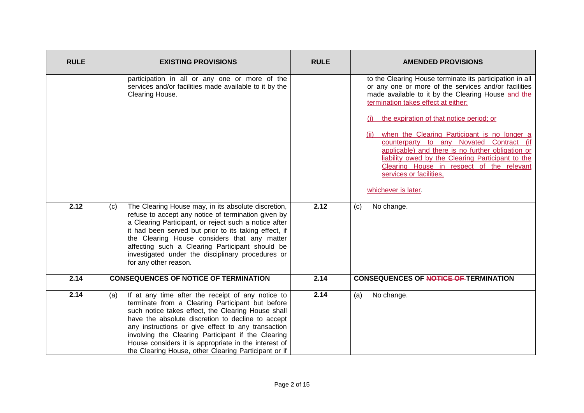| <b>RULE</b> | <b>EXISTING PROVISIONS</b>                                                                                                                                                                                                                                                                                                                                                                                                                          | <b>RULE</b> | <b>AMENDED PROVISIONS</b>                                                                                                                                                                                                                                                                                                                                                                                                                                                                                                                                              |
|-------------|-----------------------------------------------------------------------------------------------------------------------------------------------------------------------------------------------------------------------------------------------------------------------------------------------------------------------------------------------------------------------------------------------------------------------------------------------------|-------------|------------------------------------------------------------------------------------------------------------------------------------------------------------------------------------------------------------------------------------------------------------------------------------------------------------------------------------------------------------------------------------------------------------------------------------------------------------------------------------------------------------------------------------------------------------------------|
|             | participation in all or any one or more of the<br>services and/or facilities made available to it by the<br>Clearing House.                                                                                                                                                                                                                                                                                                                         |             | to the Clearing House terminate its participation in all<br>or any one or more of the services and/or facilities<br>made available to it by the Clearing House and the<br>termination takes effect at either:<br>the expiration of that notice period; or<br>when the Clearing Participant is no longer a<br>(ii)<br>counterparty to any Novated Contract (if<br>applicable) and there is no further obligation or<br>liability owed by the Clearing Participant to the<br>Clearing House in respect of the relevant<br>services or facilities,<br>whichever is later. |
| 2.12        | The Clearing House may, in its absolute discretion,<br>(c)<br>refuse to accept any notice of termination given by<br>a Clearing Participant, or reject such a notice after<br>it had been served but prior to its taking effect, if<br>the Clearing House considers that any matter<br>affecting such a Clearing Participant should be<br>investigated under the disciplinary procedures or<br>for any other reason.                                | 2.12        | No change.<br>(c)                                                                                                                                                                                                                                                                                                                                                                                                                                                                                                                                                      |
| 2.14        | <b>CONSEQUENCES OF NOTICE OF TERMINATION</b>                                                                                                                                                                                                                                                                                                                                                                                                        | 2.14        | <b>CONSEQUENCES OF NOTICE OF TERMINATION</b>                                                                                                                                                                                                                                                                                                                                                                                                                                                                                                                           |
| 2.14        | If at any time after the receipt of any notice to<br>(a)<br>terminate from a Clearing Participant but before<br>such notice takes effect, the Clearing House shall<br>have the absolute discretion to decline to accept<br>any instructions or give effect to any transaction<br>involving the Clearing Participant if the Clearing<br>House considers it is appropriate in the interest of<br>the Clearing House, other Clearing Participant or if | 2.14        | (a)<br>No change.                                                                                                                                                                                                                                                                                                                                                                                                                                                                                                                                                      |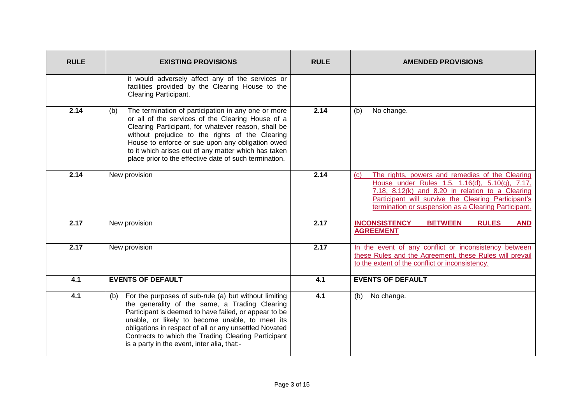| <b>RULE</b> | <b>EXISTING PROVISIONS</b>                                                                                                                                                                                                                                                                                                                                                                      | <b>RULE</b> | <b>AMENDED PROVISIONS</b>                                                                                                                                                                                                                                                   |
|-------------|-------------------------------------------------------------------------------------------------------------------------------------------------------------------------------------------------------------------------------------------------------------------------------------------------------------------------------------------------------------------------------------------------|-------------|-----------------------------------------------------------------------------------------------------------------------------------------------------------------------------------------------------------------------------------------------------------------------------|
|             | it would adversely affect any of the services or<br>facilities provided by the Clearing House to the<br><b>Clearing Participant.</b>                                                                                                                                                                                                                                                            |             |                                                                                                                                                                                                                                                                             |
| 2.14        | The termination of participation in any one or more<br>(b)<br>or all of the services of the Clearing House of a<br>Clearing Participant, for whatever reason, shall be<br>without prejudice to the rights of the Clearing<br>House to enforce or sue upon any obligation owed<br>to it which arises out of any matter which has taken<br>place prior to the effective date of such termination. | 2.14        | (b)<br>No change.                                                                                                                                                                                                                                                           |
| 2.14        | New provision                                                                                                                                                                                                                                                                                                                                                                                   | 2.14        | The rights, powers and remedies of the Clearing<br>(c)<br>House under Rules 1.5, 1.16(d), 5.10(g), 7.17,<br>7.18, 8.12(k) and 8.20 in relation to a Clearing<br>Participant will survive the Clearing Participant's<br>termination or suspension as a Clearing Participant. |
| 2.17        | New provision                                                                                                                                                                                                                                                                                                                                                                                   | 2.17        | <b>BETWEEN</b><br><b>INCONSISTENCY</b><br><b>RULES</b><br><b>AND</b><br><b>AGREEMENT</b>                                                                                                                                                                                    |
| 2.17        | New provision                                                                                                                                                                                                                                                                                                                                                                                   | 2.17        | In the event of any conflict or inconsistency between<br>these Rules and the Agreement, these Rules will prevail<br>to the extent of the conflict or inconsistency.                                                                                                         |
| 4.1         | <b>EVENTS OF DEFAULT</b>                                                                                                                                                                                                                                                                                                                                                                        | 4.1         | <b>EVENTS OF DEFAULT</b>                                                                                                                                                                                                                                                    |
| 4.1         | For the purposes of sub-rule (a) but without limiting<br>(b)<br>the generality of the same, a Trading Clearing<br>Participant is deemed to have failed, or appear to be<br>unable, or likely to become unable, to meet its<br>obligations in respect of all or any unsettled Novated<br>Contracts to which the Trading Clearing Participant<br>is a party in the event, inter alia, that:-      | 4.1         | No change.<br>(b)                                                                                                                                                                                                                                                           |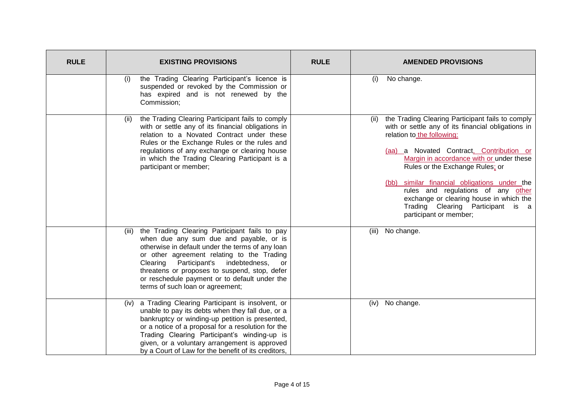| <b>RULE</b> | <b>EXISTING PROVISIONS</b>                                                                                                                                                                                                                                                                                                                                                              | <b>RULE</b> | <b>AMENDED PROVISIONS</b>                                                                                                                                                                                                                                                                                                                                                                                                                                               |
|-------------|-----------------------------------------------------------------------------------------------------------------------------------------------------------------------------------------------------------------------------------------------------------------------------------------------------------------------------------------------------------------------------------------|-------------|-------------------------------------------------------------------------------------------------------------------------------------------------------------------------------------------------------------------------------------------------------------------------------------------------------------------------------------------------------------------------------------------------------------------------------------------------------------------------|
|             | the Trading Clearing Participant's licence is<br>(i)<br>suspended or revoked by the Commission or<br>has expired and is not renewed by the<br>Commission;                                                                                                                                                                                                                               |             | No change.<br>(i)                                                                                                                                                                                                                                                                                                                                                                                                                                                       |
|             | the Trading Clearing Participant fails to comply<br>(ii)<br>with or settle any of its financial obligations in<br>relation to a Novated Contract under these<br>Rules or the Exchange Rules or the rules and<br>regulations of any exchange or clearing house<br>in which the Trading Clearing Participant is a<br>participant or member;                                               |             | the Trading Clearing Participant fails to comply<br>(ii)<br>with or settle any of its financial obligations in<br>relation to the following:<br>(aa) a Novated Contract, Contribution or<br>Margin in accordance with or under these<br>Rules or the Exchange Rules; or<br>(bb) similar financial obligations under the<br>rules and regulations of any other<br>exchange or clearing house in which the<br>Trading Clearing Participant is a<br>participant or member; |
|             | (iii) the Trading Clearing Participant fails to pay<br>when due any sum due and payable, or is<br>otherwise in default under the terms of any loan<br>or other agreement relating to the Trading<br>Participant's indebtedness,<br>Clearing<br>or<br>threatens or proposes to suspend, stop, defer<br>or reschedule payment or to default under the<br>terms of such loan or agreement; |             | No change.<br>(iii)                                                                                                                                                                                                                                                                                                                                                                                                                                                     |
|             | (iv) a Trading Clearing Participant is insolvent, or<br>unable to pay its debts when they fall due, or a<br>bankruptcy or winding-up petition is presented,<br>or a notice of a proposal for a resolution for the<br>Trading Clearing Participant's winding-up is<br>given, or a voluntary arrangement is approved<br>by a Court of Law for the benefit of its creditors,               |             | No change.<br>(iv)                                                                                                                                                                                                                                                                                                                                                                                                                                                      |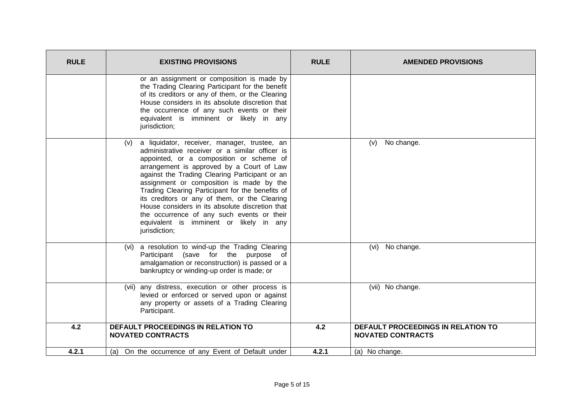| <b>RULE</b> | <b>EXISTING PROVISIONS</b>                                                                                                                                                                                                                                                                                                                                                                                                                                                                                                                                   | <b>RULE</b> | <b>AMENDED PROVISIONS</b>                                             |
|-------------|--------------------------------------------------------------------------------------------------------------------------------------------------------------------------------------------------------------------------------------------------------------------------------------------------------------------------------------------------------------------------------------------------------------------------------------------------------------------------------------------------------------------------------------------------------------|-------------|-----------------------------------------------------------------------|
|             | or an assignment or composition is made by<br>the Trading Clearing Participant for the benefit<br>of its creditors or any of them, or the Clearing<br>House considers in its absolute discretion that<br>the occurrence of any such events or their<br>equivalent is imminent or likely in any<br>jurisdiction;                                                                                                                                                                                                                                              |             |                                                                       |
|             | (v) a liquidator, receiver, manager, trustee, an<br>administrative receiver or a similar officer is<br>appointed, or a composition or scheme of<br>arrangement is approved by a Court of Law<br>against the Trading Clearing Participant or an<br>assignment or composition is made by the<br>Trading Clearing Participant for the benefits of<br>its creditors or any of them, or the Clearing<br>House considers in its absolute discretion that<br>the occurrence of any such events or their<br>equivalent is imminent or likely in any<br>jurisdiction; |             | No change.<br>(v)                                                     |
|             | (vi) a resolution to wind-up the Trading Clearing<br>Participant (save for the purpose of<br>amalgamation or reconstruction) is passed or a<br>bankruptcy or winding-up order is made; or                                                                                                                                                                                                                                                                                                                                                                    |             | No change.<br>(vi)                                                    |
|             | (vii) any distress, execution or other process is<br>levied or enforced or served upon or against<br>any property or assets of a Trading Clearing<br>Participant.                                                                                                                                                                                                                                                                                                                                                                                            |             | (vii) No change.                                                      |
| 4.2         | <b>DEFAULT PROCEEDINGS IN RELATION TO</b><br><b>NOVATED CONTRACTS</b>                                                                                                                                                                                                                                                                                                                                                                                                                                                                                        | 4.2         | <b>DEFAULT PROCEEDINGS IN RELATION TO</b><br><b>NOVATED CONTRACTS</b> |
| 4.2.1       | On the occurrence of any Event of Default under<br>(a)                                                                                                                                                                                                                                                                                                                                                                                                                                                                                                       | 4.2.1       | (a) No change.                                                        |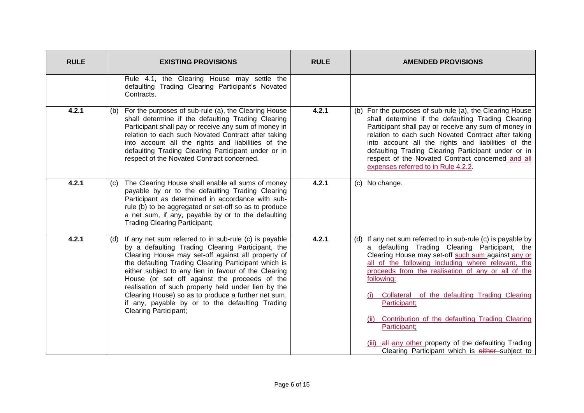| <b>RULE</b> | <b>EXISTING PROVISIONS</b>                                                                                                                                                                                                                                                                                                                                                                                                                                                                                                             | <b>RULE</b> | <b>AMENDED PROVISIONS</b>                                                                                                                                                                                                                                                                                                                                                                                                                                                                                                                                |
|-------------|----------------------------------------------------------------------------------------------------------------------------------------------------------------------------------------------------------------------------------------------------------------------------------------------------------------------------------------------------------------------------------------------------------------------------------------------------------------------------------------------------------------------------------------|-------------|----------------------------------------------------------------------------------------------------------------------------------------------------------------------------------------------------------------------------------------------------------------------------------------------------------------------------------------------------------------------------------------------------------------------------------------------------------------------------------------------------------------------------------------------------------|
|             | Rule 4.1, the Clearing House may settle the<br>defaulting Trading Clearing Participant's Novated<br>Contracts.                                                                                                                                                                                                                                                                                                                                                                                                                         |             |                                                                                                                                                                                                                                                                                                                                                                                                                                                                                                                                                          |
| 4.2.1       | (b) For the purposes of sub-rule (a), the Clearing House<br>shall determine if the defaulting Trading Clearing<br>Participant shall pay or receive any sum of money in<br>relation to each such Novated Contract after taking<br>into account all the rights and liabilities of the<br>defaulting Trading Clearing Participant under or in<br>respect of the Novated Contract concerned.                                                                                                                                               | 4.2.1       | (b) For the purposes of sub-rule (a), the Clearing House<br>shall determine if the defaulting Trading Clearing<br>Participant shall pay or receive any sum of money in<br>relation to each such Novated Contract after taking<br>into account all the rights and liabilities of the<br>defaulting Trading Clearing Participant under or in<br>respect of the Novated Contract concerned and all<br>expenses referred to in Rule 4.2.2.                                                                                                                   |
| 4.2.1       | The Clearing House shall enable all sums of money<br>(C)<br>payable by or to the defaulting Trading Clearing<br>Participant as determined in accordance with sub-<br>rule (b) to be aggregated or set-off so as to produce<br>a net sum, if any, payable by or to the defaulting<br><b>Trading Clearing Participant;</b>                                                                                                                                                                                                               | 4.2.1       | (c) No change.                                                                                                                                                                                                                                                                                                                                                                                                                                                                                                                                           |
| 4.2.1       | (d) If any net sum referred to in sub-rule (c) is payable<br>by a defaulting Trading Clearing Participant, the<br>Clearing House may set-off against all property of<br>the defaulting Trading Clearing Participant which is<br>either subject to any lien in favour of the Clearing<br>House (or set off against the proceeds of the<br>realisation of such property held under lien by the<br>Clearing House) so as to produce a further net sum,<br>if any, payable by or to the defaulting Trading<br><b>Clearing Participant;</b> | 4.2.1       | (d) If any net sum referred to in sub-rule (c) is payable by<br>a defaulting Trading Clearing Participant, the<br>Clearing House may set-off such sum against any or<br>all of the following including where relevant, the<br>proceeds from the realisation of any or all of the<br>following:<br>(i) Collateral of the defaulting Trading Clearing<br>Participant;<br>(ii) Contribution of the defaulting Trading Clearing<br>Participant;<br>(iii) all any other property of the defaulting Trading<br>Clearing Participant which is either subject to |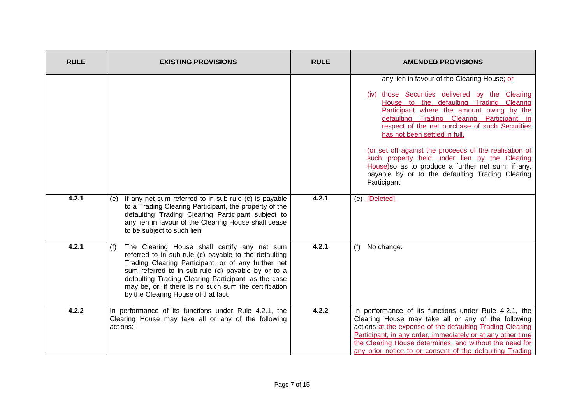| <b>RULE</b> | <b>EXISTING PROVISIONS</b>                                                                                                                                                                                                                                                                                                                                                        | <b>RULE</b> | <b>AMENDED PROVISIONS</b>                                                                                                                                                                                                                                                                                                                                       |
|-------------|-----------------------------------------------------------------------------------------------------------------------------------------------------------------------------------------------------------------------------------------------------------------------------------------------------------------------------------------------------------------------------------|-------------|-----------------------------------------------------------------------------------------------------------------------------------------------------------------------------------------------------------------------------------------------------------------------------------------------------------------------------------------------------------------|
|             |                                                                                                                                                                                                                                                                                                                                                                                   |             | any lien in favour of the Clearing House; or<br>(iv) those Securities delivered by the Clearing<br>House to the defaulting Trading Clearing<br>Participant where the amount owing by the<br>defaulting Trading Clearing Participant in<br>respect of the net purchase of such Securities<br>has not been settled in full,                                       |
|             |                                                                                                                                                                                                                                                                                                                                                                                   |             | (or set off against the proceeds of the realisation of<br>such property held under lien by the Clearing<br>House) so as to produce a further net sum, if any,<br>payable by or to the defaulting Trading Clearing<br>Participant;                                                                                                                               |
| 4.2.1       | If any net sum referred to in sub-rule (c) is payable<br>(e)<br>to a Trading Clearing Participant, the property of the<br>defaulting Trading Clearing Participant subject to<br>any lien in favour of the Clearing House shall cease<br>to be subject to such lien;                                                                                                               | 4.2.1       | (e) [Deleted]                                                                                                                                                                                                                                                                                                                                                   |
| 4.2.1       | The Clearing House shall certify any net sum<br>(f)<br>referred to in sub-rule (c) payable to the defaulting<br>Trading Clearing Participant, or of any further net<br>sum referred to in sub-rule (d) payable by or to a<br>defaulting Trading Clearing Participant, as the case<br>may be, or, if there is no such sum the certification<br>by the Clearing House of that fact. | 4.2.1       | No change.<br>(f)                                                                                                                                                                                                                                                                                                                                               |
| 4.2.2       | In performance of its functions under Rule 4.2.1, the<br>Clearing House may take all or any of the following<br>actions:-                                                                                                                                                                                                                                                         | 4.2.2       | In performance of its functions under Rule 4.2.1, the<br>Clearing House may take all or any of the following<br>actions at the expense of the defaulting Trading Clearing<br>Participant, in any order, immediately or at any other time<br>the Clearing House determines, and without the need for<br>any prior notice to or consent of the defaulting Trading |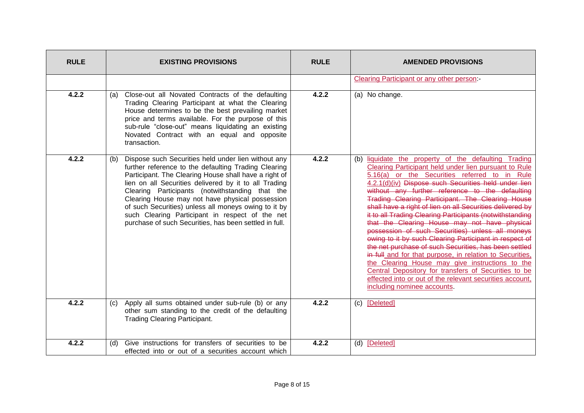| <b>RULE</b> | <b>EXISTING PROVISIONS</b>                                                                                                                                                                                                                                                                                                                                                                                                                                                                                      | <b>RULE</b> | <b>AMENDED PROVISIONS</b>                                                                                                                                                                                                                                                                                                                                                                                                                                                                                                                                                                                                                                                                                                                                                                                                                                                                                                                        |
|-------------|-----------------------------------------------------------------------------------------------------------------------------------------------------------------------------------------------------------------------------------------------------------------------------------------------------------------------------------------------------------------------------------------------------------------------------------------------------------------------------------------------------------------|-------------|--------------------------------------------------------------------------------------------------------------------------------------------------------------------------------------------------------------------------------------------------------------------------------------------------------------------------------------------------------------------------------------------------------------------------------------------------------------------------------------------------------------------------------------------------------------------------------------------------------------------------------------------------------------------------------------------------------------------------------------------------------------------------------------------------------------------------------------------------------------------------------------------------------------------------------------------------|
|             |                                                                                                                                                                                                                                                                                                                                                                                                                                                                                                                 |             | <b>Clearing Participant or any other person:</b>                                                                                                                                                                                                                                                                                                                                                                                                                                                                                                                                                                                                                                                                                                                                                                                                                                                                                                 |
| 4.2.2       | Close-out all Novated Contracts of the defaulting<br>(a)<br>Trading Clearing Participant at what the Clearing<br>House determines to be the best prevailing market<br>price and terms available. For the purpose of this<br>sub-rule "close-out" means liquidating an existing<br>Novated Contract with an equal and opposite<br>transaction.                                                                                                                                                                   | 4.2.2       | (a) No change.                                                                                                                                                                                                                                                                                                                                                                                                                                                                                                                                                                                                                                                                                                                                                                                                                                                                                                                                   |
| 4.2.2       | Dispose such Securities held under lien without any<br>(b)<br>further reference to the defaulting Trading Clearing<br>Participant. The Clearing House shall have a right of<br>lien on all Securities delivered by it to all Trading<br>Clearing Participants (notwithstanding that the<br>Clearing House may not have physical possession<br>of such Securities) unless all moneys owing to it by<br>such Clearing Participant in respect of the net<br>purchase of such Securities, has been settled in full. | 4.2.2       | (b) liquidate the property of the defaulting Trading<br>Clearing Participant held under lien pursuant to Rule<br>5.16(a) or the Securities referred to in Rule<br>4.2.1(d)(iv) Dispose such Securities held under lien<br>without any further reference to the defaulting<br>Trading Clearing Participant. The Clearing House<br>shall have a right of lien on all Securities delivered by<br>it to all Trading Clearing Participants (notwithstanding<br>that the Clearing House may not have physical<br>possession of such Securities) unless all moneys<br>owing to it by such Clearing Participant in respect of<br>the net purchase of such Securities, has been settled<br>in full and for that purpose, in relation to Securities,<br>the Clearing House may give instructions to the<br>Central Depository for transfers of Securities to be<br>effected into or out of the relevant securities account,<br>including nominee accounts. |
| 4.2.2       | Apply all sums obtained under sub-rule (b) or any<br>(c)<br>other sum standing to the credit of the defaulting<br><b>Trading Clearing Participant.</b>                                                                                                                                                                                                                                                                                                                                                          | 4.2.2       | (c) [Deleted]                                                                                                                                                                                                                                                                                                                                                                                                                                                                                                                                                                                                                                                                                                                                                                                                                                                                                                                                    |
| 4.2.2       | Give instructions for transfers of securities to be<br>(d)<br>effected into or out of a securities account which                                                                                                                                                                                                                                                                                                                                                                                                | 4.2.2       | (d) [Deleted]                                                                                                                                                                                                                                                                                                                                                                                                                                                                                                                                                                                                                                                                                                                                                                                                                                                                                                                                    |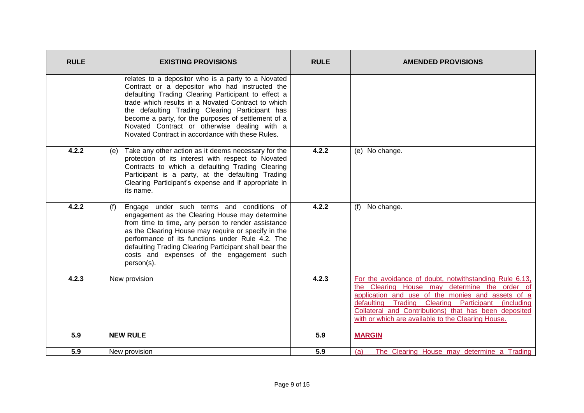| <b>RULE</b> | <b>EXISTING PROVISIONS</b>                                                                                                                                                                                                                                                                                                                                                                                                      | <b>RULE</b>      | <b>AMENDED PROVISIONS</b>                                                                                                                                                                                                                                                                                                         |
|-------------|---------------------------------------------------------------------------------------------------------------------------------------------------------------------------------------------------------------------------------------------------------------------------------------------------------------------------------------------------------------------------------------------------------------------------------|------------------|-----------------------------------------------------------------------------------------------------------------------------------------------------------------------------------------------------------------------------------------------------------------------------------------------------------------------------------|
|             | relates to a depositor who is a party to a Novated<br>Contract or a depositor who had instructed the<br>defaulting Trading Clearing Participant to effect a<br>trade which results in a Novated Contract to which<br>the defaulting Trading Clearing Participant has<br>become a party, for the purposes of settlement of a<br>Novated Contract or otherwise dealing with a<br>Novated Contract in accordance with these Rules. |                  |                                                                                                                                                                                                                                                                                                                                   |
| 4.2.2       | Take any other action as it deems necessary for the<br>(e)<br>protection of its interest with respect to Novated<br>Contracts to which a defaulting Trading Clearing<br>Participant is a party, at the defaulting Trading<br>Clearing Participant's expense and if appropriate in<br>its name.                                                                                                                                  | 4.2.2            | (e) No change.                                                                                                                                                                                                                                                                                                                    |
| 4.2.2       | Engage under such terms and conditions of<br>(f)<br>engagement as the Clearing House may determine<br>from time to time, any person to render assistance<br>as the Clearing House may require or specify in the<br>performance of its functions under Rule 4.2. The<br>defaulting Trading Clearing Participant shall bear the<br>costs and expenses of the engagement such<br>person(s).                                        | 4.2.2            | No change.<br>(f)                                                                                                                                                                                                                                                                                                                 |
| 4.2.3       | New provision                                                                                                                                                                                                                                                                                                                                                                                                                   | 4.2.3            | For the avoidance of doubt, notwithstanding Rule 6.13,<br>the Clearing House may determine the order of<br>application and use of the monies and assets of a<br>defaulting Trading Clearing Participant (including<br>Collateral and Contributions) that has been deposited<br>with or which are available to the Clearing House. |
| 5.9         | <b>NEW RULE</b>                                                                                                                                                                                                                                                                                                                                                                                                                 | $\overline{5.9}$ | <b>MARGIN</b>                                                                                                                                                                                                                                                                                                                     |
| 5.9         | New provision                                                                                                                                                                                                                                                                                                                                                                                                                   | 5.9              | The Clearing House may determine a Trading<br>(a)                                                                                                                                                                                                                                                                                 |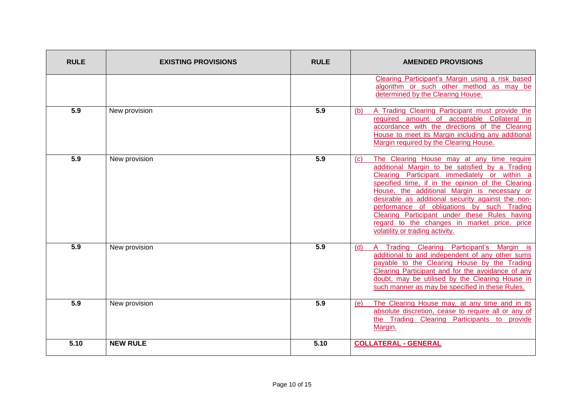| <b>RULE</b> | <b>EXISTING PROVISIONS</b> | <b>RULE</b> | <b>AMENDED PROVISIONS</b>                                                                                                                                                                                                                                                                                                                                                                                                                                                                                     |
|-------------|----------------------------|-------------|---------------------------------------------------------------------------------------------------------------------------------------------------------------------------------------------------------------------------------------------------------------------------------------------------------------------------------------------------------------------------------------------------------------------------------------------------------------------------------------------------------------|
|             |                            |             | Clearing Participant's Margin using a risk based<br>algorithm or such other method as may be<br>determined by the Clearing House.                                                                                                                                                                                                                                                                                                                                                                             |
| 5.9         | New provision              | 5.9         | A Trading Clearing Participant must provide the<br>(b)<br>required amount of acceptable Collateral in<br>accordance with the directions of the Clearing<br>House to meet its Margin including any additional<br>Margin required by the Clearing House.                                                                                                                                                                                                                                                        |
| 5.9         | New provision              | 5.9         | The Clearing House may at any time require<br>$\left( c\right)$<br>additional Margin to be satisfied by a Trading<br>Clearing Participant immediately or within a<br>specified time, if in the opinion of the Clearing<br>House, the additional Margin is necessary or<br>desirable as additional security against the non-<br>performance of obligations by such Trading<br>Clearing Participant under these Rules having<br>regard to the changes in market price, price<br>volatility or trading activity. |
| 5.9         | New provision              | 5.9         | A Trading Clearing Participant's Margin is<br>(d)<br>additional to and independent of any other sums<br>payable to the Clearing House by the Trading<br>Clearing Participant and for the avoidance of any<br>doubt, may be utilised by the Clearing House in<br>such manner as may be specified in these Rules.                                                                                                                                                                                               |
| 5.9         | New provision              | 5.9         | The Clearing House may, at any time and in its<br>(e)<br>absolute discretion, cease to require all or any of<br>the Trading Clearing Participants to provide<br>Margin.                                                                                                                                                                                                                                                                                                                                       |
| 5.10        | <b>NEW RULE</b>            | 5.10        | <b>COLLATERAL - GENERAL</b>                                                                                                                                                                                                                                                                                                                                                                                                                                                                                   |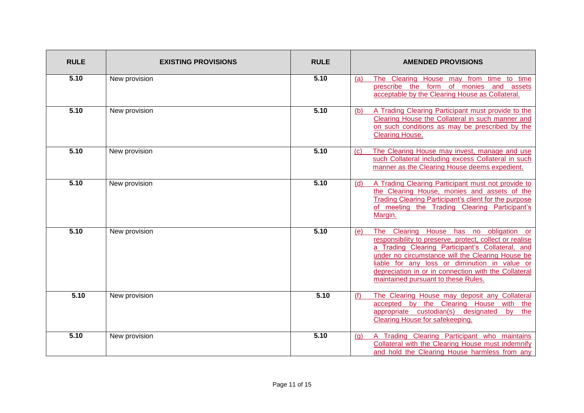| <b>RULE</b> | <b>EXISTING PROVISIONS</b> | <b>RULE</b> | <b>AMENDED PROVISIONS</b>                                                                                                                                                                                                                                                                                                                                               |
|-------------|----------------------------|-------------|-------------------------------------------------------------------------------------------------------------------------------------------------------------------------------------------------------------------------------------------------------------------------------------------------------------------------------------------------------------------------|
| 5.10        | New provision              | 5.10        | The Clearing House may from time to time<br>(a)<br>prescribe the form of monies and assets<br>acceptable by the Clearing House as Collateral.                                                                                                                                                                                                                           |
| 5.10        | New provision              | 5.10        | A Trading Clearing Participant must provide to the<br>(b)<br>Clearing House the Collateral in such manner and<br>on such conditions as may be prescribed by the<br><b>Clearing House.</b>                                                                                                                                                                               |
| 5.10        | New provision              | 5.10        | The Clearing House may invest, manage and use<br>(c)<br>such Collateral including excess Collateral in such<br>manner as the Clearing House deems expedient.                                                                                                                                                                                                            |
| 5.10        | New provision              | 5.10        | A Trading Clearing Participant must not provide to<br>(d)<br>the Clearing House, monies and assets of the<br>Trading Clearing Participant's client for the purpose<br>of meeting the Trading Clearing Participant's<br>Margin.                                                                                                                                          |
| 5.10        | New provision              | 5.10        | House has no obligation or<br>Clearing<br>(e)<br>The<br>responsibility to preserve, protect, collect or realise<br>a Trading Clearing Participant's Collateral, and<br>under no circumstance will the Clearing House be<br>liable for any loss or diminution in value or<br>depreciation in or in connection with the Collateral<br>maintained pursuant to these Rules. |
| 5.10        | New provision              | 5.10        | The Clearing House may deposit any Collateral<br>(f)<br>accepted by the Clearing House with<br>the<br>appropriate custodian(s) designated<br>by<br>the<br><b>Clearing House for safekeeping.</b>                                                                                                                                                                        |
| 5.10        | New provision              | 5.10        | A Trading Clearing Participant who maintains<br>(q)<br>Collateral with the Clearing House must indemnify<br>and hold the Clearing House harmless from any                                                                                                                                                                                                               |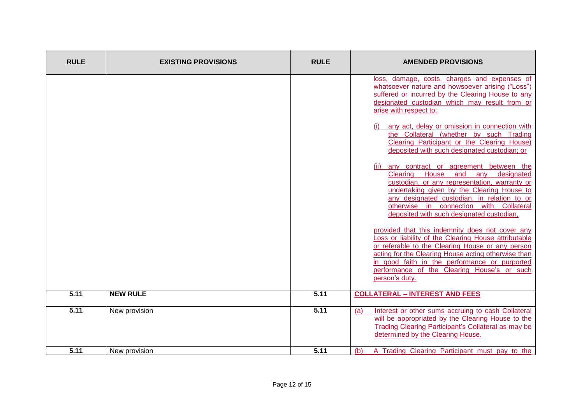| <b>RULE</b> | <b>EXISTING PROVISIONS</b> | <b>RULE</b> | <b>AMENDED PROVISIONS</b>                                                                                                                                                                                                                                                                                                            |
|-------------|----------------------------|-------------|--------------------------------------------------------------------------------------------------------------------------------------------------------------------------------------------------------------------------------------------------------------------------------------------------------------------------------------|
|             |                            |             | loss, damage, costs, charges and expenses of<br>whatsoever nature and howsoever arising ("Loss")<br>suffered or incurred by the Clearing House to any<br>designated custodian which may result from or<br>arise with respect to:                                                                                                     |
|             |                            |             | any act, delay or omission in connection with<br>the Collateral (whether by such Trading<br>Clearing Participant or the Clearing House)<br>deposited with such designated custodian; or                                                                                                                                              |
|             |                            |             | any contract or agreement between the<br>(ii)<br>House and<br>Clearing<br>designated<br>any<br>custodian, or any representation, warranty or<br>undertaking given by the Clearing House to<br>any designated custodian, in relation to or<br>otherwise in connection with Collateral<br>deposited with such designated custodian,    |
|             |                            |             | provided that this indemnity does not cover any<br>Loss or liability of the Clearing House attributable<br>or referable to the Clearing House or any person<br>acting for the Clearing House acting otherwise than<br>in good faith in the performance or purported<br>performance of the Clearing House's or such<br>person's duty. |
| 5.11        | <b>NEW RULE</b>            | 5.11        | <b>COLLATERAL - INTEREST AND FEES</b>                                                                                                                                                                                                                                                                                                |
| 5.11        | New provision              | 5.11        | Interest or other sums accruing to cash Collateral<br>(a)<br>will be appropriated by the Clearing House to the<br>Trading Clearing Participant's Collateral as may be<br>determined by the Clearing House.                                                                                                                           |
| 5.11        | New provision              | 5.11        | A Trading Clearing Participant must pay to the<br>(b)                                                                                                                                                                                                                                                                                |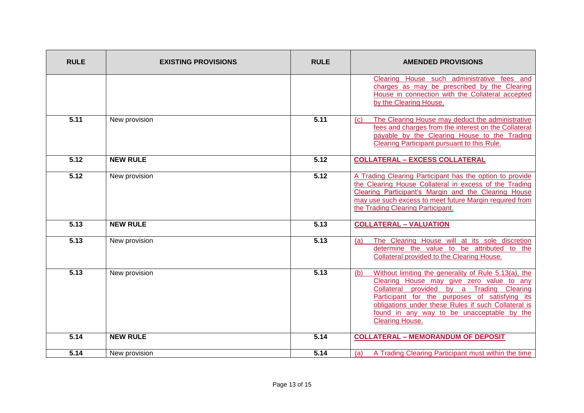| <b>RULE</b> | <b>EXISTING PROVISIONS</b> | <b>RULE</b> | <b>AMENDED PROVISIONS</b>                                                                                                                                                                                                                                                                                                       |
|-------------|----------------------------|-------------|---------------------------------------------------------------------------------------------------------------------------------------------------------------------------------------------------------------------------------------------------------------------------------------------------------------------------------|
|             |                            |             | Clearing House such administrative fees and<br>charges as may be prescribed by the Clearing<br>House in connection with the Collateral accepted<br>by the Clearing House.                                                                                                                                                       |
| 5.11        | New provision              | 5.11        | The Clearing House may deduct the administrative<br>(c)<br>fees and charges from the interest on the Collateral<br>payable by the Clearing House to the Trading<br>Clearing Participant pursuant to this Rule.                                                                                                                  |
| 5.12        | <b>NEW RULE</b>            | 5.12        | <b>COLLATERAL - EXCESS COLLATERAL</b>                                                                                                                                                                                                                                                                                           |
| 5.12        | New provision              | 5.12        | A Trading Clearing Participant has the option to provide<br>the Clearing House Collateral in excess of the Trading<br>Clearing Participant's Margin and the Clearing House<br>may use such excess to meet future Margin required from<br>the Trading Clearing Participant.                                                      |
| 5.13        | <b>NEW RULE</b>            | 5.13        | <b>COLLATERAL - VALUATION</b>                                                                                                                                                                                                                                                                                                   |
| 5.13        | New provision              | 5.13        | The Clearing House will at its sole discretion<br>(a)<br>determine the value to be attributed to the<br>Collateral provided to the Clearing House.                                                                                                                                                                              |
| 5.13        | New provision              | 5.13        | Without limiting the generality of Rule 5.13(a), the<br>(b)<br>Clearing House may give zero value to any<br>Collateral provided by a Trading Clearing<br>Participant for the purposes of satisfying its<br>obligations under these Rules if such Collateral is<br>found in any way to be unacceptable by the<br>Clearing House. |
| 5.14        | <b>NEW RULE</b>            | 5.14        | <b>COLLATERAL - MEMORANDUM OF DEPOSIT</b>                                                                                                                                                                                                                                                                                       |
| 5.14        | New provision              | 5.14        | A Trading Clearing Participant must within the time<br>(a)                                                                                                                                                                                                                                                                      |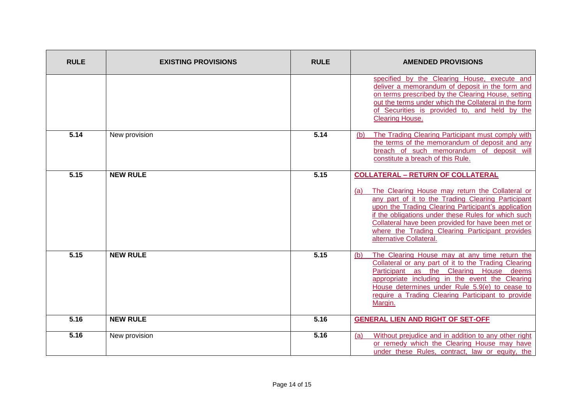| <b>RULE</b> | <b>EXISTING PROVISIONS</b> | <b>RULE</b> | <b>AMENDED PROVISIONS</b>                                                                                                                                                                                                                                                                                                                                                                                  |
|-------------|----------------------------|-------------|------------------------------------------------------------------------------------------------------------------------------------------------------------------------------------------------------------------------------------------------------------------------------------------------------------------------------------------------------------------------------------------------------------|
|             |                            |             | specified by the Clearing House, execute and<br>deliver a memorandum of deposit in the form and<br>on terms prescribed by the Clearing House, setting<br>out the terms under which the Collateral in the form<br>of Securities is provided to, and held by the<br><b>Clearing House.</b>                                                                                                                   |
| 5.14        | New provision              | 5.14        | The Trading Clearing Participant must comply with<br>(b)<br>the terms of the memorandum of deposit and any<br>breach of such memorandum of deposit will<br>constitute a breach of this Rule.                                                                                                                                                                                                               |
| 5.15        | <b>NEW RULE</b>            | 5.15        | <b>COLLATERAL - RETURN OF COLLATERAL</b><br>The Clearing House may return the Collateral or<br>(a)<br>any part of it to the Trading Clearing Participant<br>upon the Trading Clearing Participant's application<br>if the obligations under these Rules for which such<br>Collateral have been provided for have been met or<br>where the Trading Clearing Participant provides<br>alternative Collateral. |
| 5.15        | <b>NEW RULE</b>            | 5.15        | The Clearing House may at any time return the<br>(b)<br>Collateral or any part of it to the Trading Clearing<br>Participant as the Clearing House deems<br>appropriate including in the event the Clearing<br>House determines under Rule 5.9(e) to cease to<br>require a Trading Clearing Participant to provide<br>Margin.                                                                               |
| 5.16        | <b>NEW RULE</b>            | 5.16        | <b>GENERAL LIEN AND RIGHT OF SET-OFF</b>                                                                                                                                                                                                                                                                                                                                                                   |
| 5.16        | New provision              | 5.16        | Without prejudice and in addition to any other right<br>(a)<br>or remedy which the Clearing House may have<br>under these Rules, contract, law or equity, the                                                                                                                                                                                                                                              |